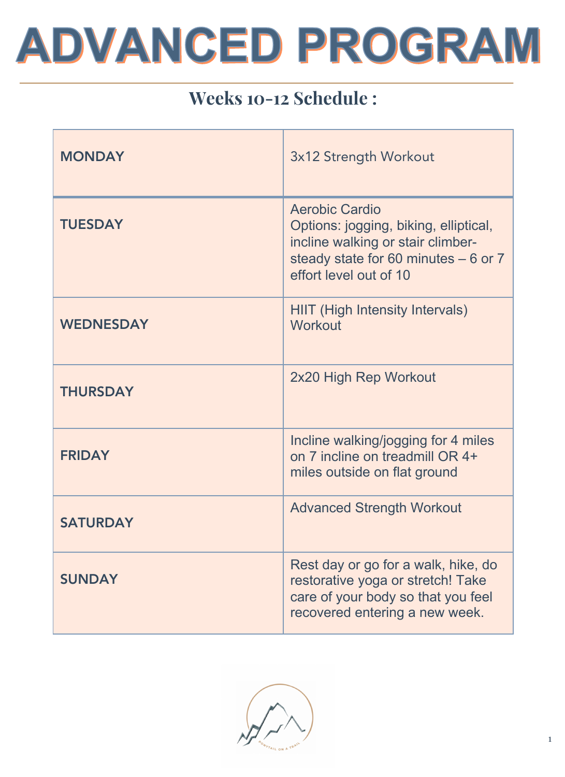# ADVANCED PROGRAM

### Weeks 10-12 Schedule :

| <b>MONDAY</b>    | 3x12 Strength Workout                                                                                                                                          |
|------------------|----------------------------------------------------------------------------------------------------------------------------------------------------------------|
| <b>TUESDAY</b>   | Aerobic Cardio<br>Options: jogging, biking, elliptical,<br>incline walking or stair climber-<br>steady state for 60 minutes - 6 or 7<br>effort level out of 10 |
| <b>WEDNESDAY</b> | <b>HIIT (High Intensity Intervals)</b><br>Workout                                                                                                              |
| <b>THURSDAY</b>  | 2x20 High Rep Workout                                                                                                                                          |
| <b>FRIDAY</b>    | Incline walking/jogging for 4 miles<br>on 7 incline on treadmill OR 4+<br>miles outside on flat ground                                                         |
| <b>SATURDAY</b>  | <b>Advanced Strength Workout</b>                                                                                                                               |
| <b>SUNDAY</b>    | Rest day or go for a walk, hike, do<br>restorative yoga or stretch! Take<br>care of your body so that you feel<br>recovered entering a new week.               |

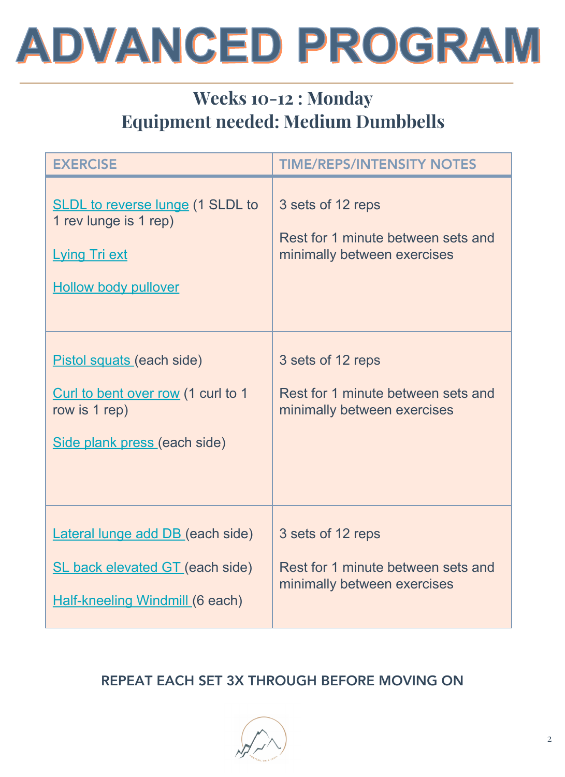

### Weeks 10-12 : Monday Equipment needed: Medium Dumbbells

| <b>EXERCISE</b>                                                                                                             | <b>TIME/REPS/INTENSITY NOTES</b>                                                       |
|-----------------------------------------------------------------------------------------------------------------------------|----------------------------------------------------------------------------------------|
| <b>SLDL</b> to reverse lunge (1 SLDL to<br>1 rev lunge is 1 rep)<br><b>Lying Tri ext</b><br><b>Hollow body pullover</b>     | 3 sets of 12 reps<br>Rest for 1 minute between sets and<br>minimally between exercises |
| Pistol squats (each side)<br>Curl to bent over row (1 curl to 1<br>row is 1 rep)<br>Side plank press (each side)            | 3 sets of 12 reps<br>Rest for 1 minute between sets and<br>minimally between exercises |
| <b>Lateral lunge add DB (each side)</b><br><b>SL back elevated GT (each side)</b><br><b>Half-kneeling Windmill (6 each)</b> | 3 sets of 12 reps<br>Rest for 1 minute between sets and<br>minimally between exercises |

#### REPEAT EACH SET 3X THROUGH BEFORE MOVING ON

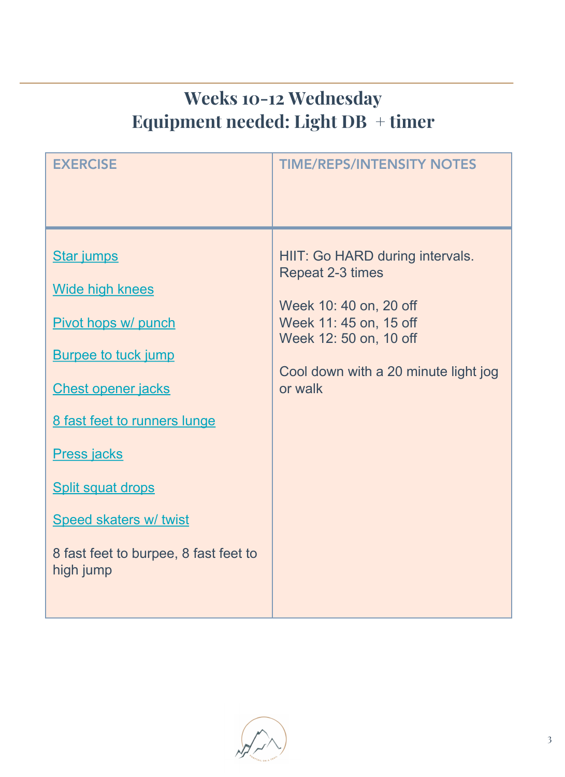# Weeks 10-12 Wednesday Equipment needed: Light DB + timer

| <b>Star jumps</b><br><b>Wide high knees</b><br>Pivot hops w/ punch<br><b>Burpee to tuck jump</b><br><b>Chest opener jacks</b><br>or walk<br>8 fast feet to runners lunge<br><b>Press jacks</b><br><b>Split squat drops</b><br><b>Speed skaters w/ twist</b><br>8 fast feet to burpee, 8 fast feet to<br>high jump | HIIT: Go HARD during intervals.<br>Repeat 2-3 times<br>Week 10: 40 on, 20 off<br>Week 11: 45 on, 15 off<br>Week 12: 50 on, 10 off<br>Cool down with a 20 minute light jog |
|-------------------------------------------------------------------------------------------------------------------------------------------------------------------------------------------------------------------------------------------------------------------------------------------------------------------|---------------------------------------------------------------------------------------------------------------------------------------------------------------------------|

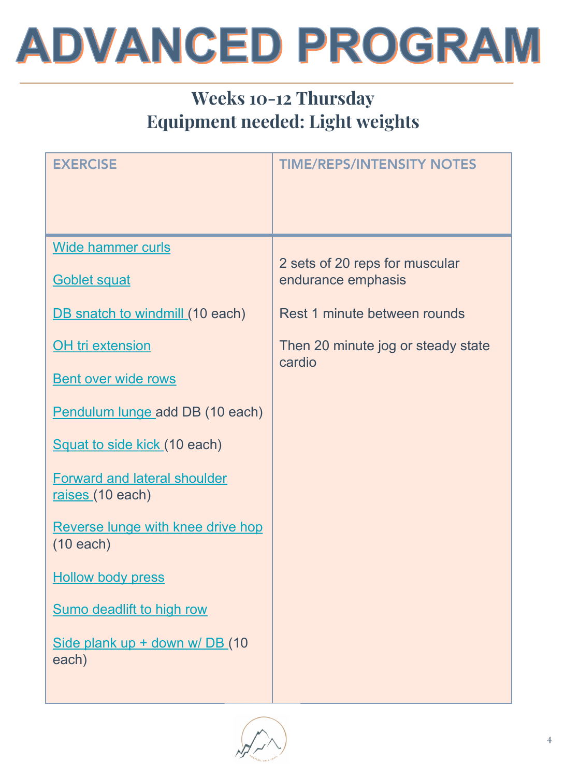# **ADVANCED PROGRAM**

# Weeks 10-12 Thursday Equipment needed: Light weights

| <b>EXERCISE</b>                                         | <b>TIME/REPS/INTENSITY NOTES</b>             |
|---------------------------------------------------------|----------------------------------------------|
|                                                         |                                              |
|                                                         |                                              |
| Wide hammer curls                                       | 2 sets of 20 reps for muscular               |
| <b>Goblet squat</b>                                     | endurance emphasis                           |
| DB snatch to windmill (10 each)                         | Rest 1 minute between rounds                 |
| <b>OH</b> tri extension                                 | Then 20 minute jog or steady state<br>cardio |
| <b>Bent over wide rows</b>                              |                                              |
| Pendulum lunge add DB (10 each)                         |                                              |
| Squat to side kick (10 each)                            |                                              |
| <b>Forward and lateral shoulder</b><br>raises (10 each) |                                              |
| Reverse lunge with knee drive hop<br>$(10$ each)        |                                              |
| <b>Hollow body press</b>                                |                                              |
| <b>Sumo deadlift to high row</b>                        |                                              |
| Side plank up + down w/ DB (10<br>each)                 |                                              |
|                                                         |                                              |